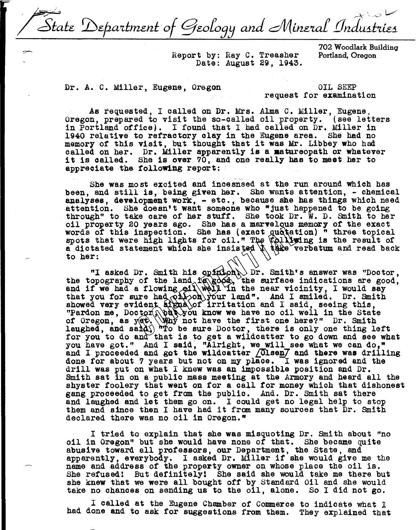State Department of Geology and Mineral Industries

Report by: Ray c. Treasher Date: August 29, 1943.

702 Woodlark Building Portland, Oregon

Dr. A. C. Miller, Eugene, Oregon OIL SEEP

request for examination

As requested, I called on Dr. Mrs. Alma C. Miller, Eugene, Oregon, prepared to visit the so-called oil property. (see letters in Portland office). I found that I had called on Dr. Miller in 1940 relative to refractory clay in the Eugene area. She had no memory of this visit, but thought that it was Mr. Libbey who had called on her. Dr. Miller apparently **is a aatureopath** or whatever it is called. She **is over** '70, and one really bas to meet her to appreciate the following report:

She was most excited and incesnsed at the run around which has been, and still is, being given her. She wants attention, - chemical analyses, development work, - etc., because she has things which need attention. She doesn't want someone who "just happened to be going through" to take care of her stuff. She took Dr. W. D. Smith to her oil property 20 years ago. She has a marvelous memory of the exact words of this inspection. She has (exact quotation) " three topical spots that were high lights for oil." The relation is the result of spots that were high fights for off. The polaring is the result of spots that were high fights for off. The polaring is the result of to her:  $\left(\sqrt{1}\right)$ 

"I asked Dr. Smith his opinion Dr. Smith's answer was "Doctor, the topography of the land is good, the surface indications are good, and if we had a flowing oil well in the near vicinity, I would say and if we had a flowing oil well in the near vicinity, I would say<br>that you for sure had only your land". And I smiled. Dr. Smith<br>showed way evident at major invitation and I said section this that you for sure had only only land". And I smiled. Dr. Smileshowed very evident signal of irritation and I said, seeing this, showed very evident signa of iffication and I said, seeing this,<br>"Pardon me, Doctor, but you know we have no oil well in the State of Oregon, as yet. Why not have the first one here?" Dr. Smith laughed, and sand  $\int$  mo be sure Dootor, there is only one thing left for you to do and that is to get a wildcatter to go down and see what for you to do and that is to get a wildcatter to go down and see what you have got." And I said, "Alright, we will see what we can do." and I proceeded and got the wildcatter  $\sqrt{0}$ lsen $\overline{J}$  and there was drilling done for about 7 years but not on my place. I was ignored and the drill was put on what I knew was an impossible position and Dr. Smith sat in on a public mass meeting at the Armory and heard all the shyster foolery that went on for a call *tor* money which that dishonest gang proceeded to get from the public. And. Dr. Smith sat there and laughed and let them go on. I could get no legal help to stop them and since then I have had it from many sources that Dr. Smith declared there was no oil in Oregon."

I tried to explain that she was misquoting Dr. Smith about ''no oil in Oregon" but she would have none of that. She became quite abusive toward all professors, our Department, the State, and apparently, everybody. I asked Dr. Miller if she would give me the name and address of the property owner on whose place the oil is. She refused! But definitely! She said she would take me there but she knew that we were all bousht off by standard Oil and she would take no chances on sending us to the oil, alone. So I did not go.

I called at the Eugene Chamber of Connnerce to indicate what I had done and to ask for suggestions from them. They explained that